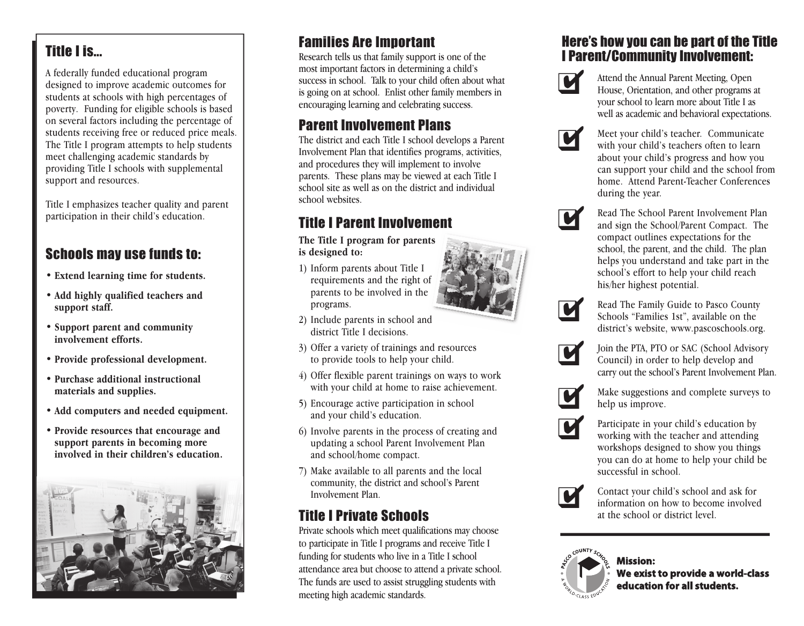# Title I is...

A federally funded educational program designed to improve academic outcomes for students at schools with high percentages of poverty. Funding for eligible schools is based on several factors including the percentage of students receiving free or reduced price meals. The Title I program attempts to help students meet challenging academic standards by providing Title I schools with supplemental support and resources.

Title I emphasizes teacher quality and parent participation in their child's education.

## Schools may use funds to:

- **• Extend learning time for students.**
- **• Add highly qualified teachers and support staff.**
- **• Support parent and community involvement efforts.**
- **• Provide professional development.**
- **• Purchase additional instructional materials and supplies.**
- **• Add computers and needed equipment.**
- **• Provide resources that encourage and support parents in becoming more involved in their children's education.**



# Families Are Important

Research tells us that family support is one of the most important factors in determining a child's success in school. Talk to your child often about what is going on at school. Enlist other family members in encouraging learning and celebrating success.

# Parent Involvement Plans

The district and each Title I school develops a Parent Involvement Plan that identifies programs, activities, and procedures they will implement to involve parents. These plans may be viewed at each Title I school site as well as on the district and individual school websites.

# Title I Parent Involvement

**The Title I program for parents is designed to:**

1) Inform parents about Title I requirements and the right of parents to be involved in the programs.



- 2) Include parents in school and district Title I decisions.
- 3) Offer a variety of trainings and resources to provide tools to help your child.
- 4) Offer flexible parent trainings on ways to work with your child at home to raise achievement.
- 5) Encourage active participation in school and your child's education.
- 6) Involve parents in the process of creating and updating a school Parent Involvement Plan and school/home compact.
- 7) Make available to all parents and the local community, the district and school's Parent Involvement Plan.

# Title I Private Schools

Private schools which meet qualifications may choose to participate in Title I programs and receive Title I funding for students who live in a Title I school attendance area but choose to attend a private school. The funds are used to assist struggling students with meeting high academic standards.

### Here's how you can be part of the Title I Parent/Community Involvement:



Attend the Annual Parent Meeting, Open House, Orientation, and other programs at your school to learn more about Title I as well as academic and behavioral expectations.



Meet your child's teacher. Communicate with your child's teachers often to learn about your child's progress and how you can support your child and the school from home. Attend Parent-Teacher Conferences during the year.



Read The School Parent Involvement Plan and sign the School/Parent Compact. The compact outlines expectations for the school, the parent, and the child. The plan helps you understand and take part in the school's effort to help your child reach his/her highest potential.



Read The Family Guide to Pasco County Schools "Families 1st", available on the district's website, www.pascoschools.org.



Join the PTA, PTO or SAC (School Advisory Council) in order to help develop and carry out the school's Parent Involvement Plan.



Make suggestions and complete surveys to help us improve.



Participate in your child's education by working with the teacher and attending workshops designed to show you things you can do at home to help your child be successful in school.



Contact your child's school and ask for information on how to become involved at the school or district level.



**Mission: We exist to provide a world-class education for all students.**